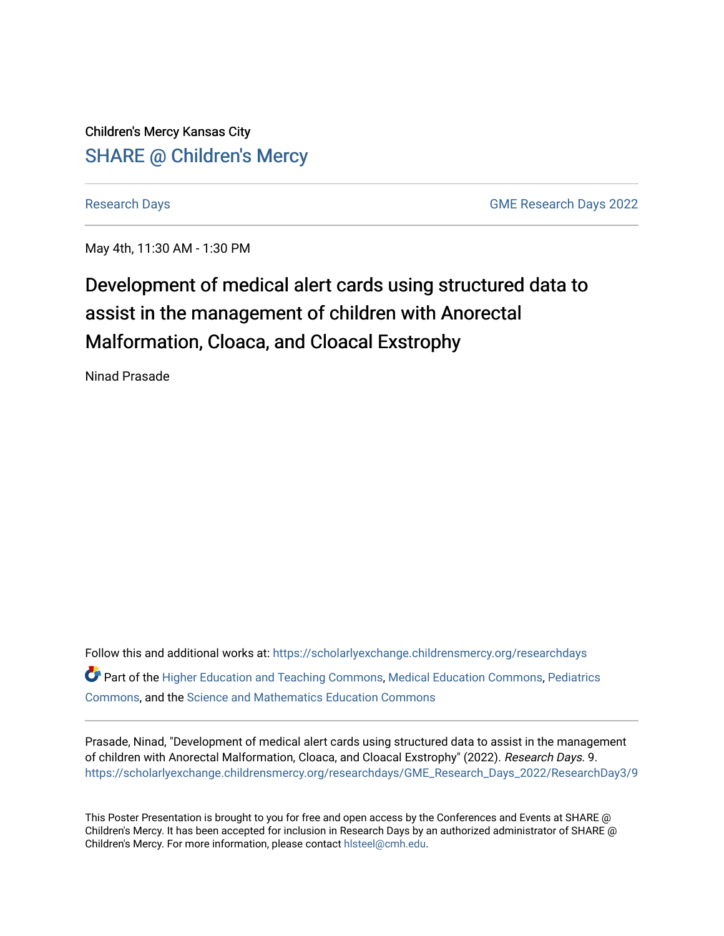Children's Mercy Kansas City SHARE @ Children's Mercy

[Research Days](https://scholarlyexchange.childrensmercy.org/researchdays) [GME Research Days 2022](https://scholarlyexchange.childrensmercy.org/researchdays/GME_Research_Days_2022) 

May 4th, 11:30 AM - 1:30 PM

### Development of medical alert cards using structured data to assist in the management of children with Anorectal Malformation, Cloaca, and Cloacal Exstrophy

Ninad Prasade

Follow this and additional works at: [https://scholarlyexchange.childrensmercy.org/researchdays](https://scholarlyexchange.childrensmercy.org/researchdays?utm_source=scholarlyexchange.childrensmercy.org%2Fresearchdays%2FGME_Research_Days_2022%2FResearchDay3%2F9&utm_medium=PDF&utm_campaign=PDFCoverPages)  Part of the [Higher Education and Teaching Commons](http://network.bepress.com/hgg/discipline/806?utm_source=scholarlyexchange.childrensmercy.org%2Fresearchdays%2FGME_Research_Days_2022%2FResearchDay3%2F9&utm_medium=PDF&utm_campaign=PDFCoverPages), [Medical Education Commons](http://network.bepress.com/hgg/discipline/1125?utm_source=scholarlyexchange.childrensmercy.org%2Fresearchdays%2FGME_Research_Days_2022%2FResearchDay3%2F9&utm_medium=PDF&utm_campaign=PDFCoverPages), [Pediatrics](http://network.bepress.com/hgg/discipline/700?utm_source=scholarlyexchange.childrensmercy.org%2Fresearchdays%2FGME_Research_Days_2022%2FResearchDay3%2F9&utm_medium=PDF&utm_campaign=PDFCoverPages)  [Commons](http://network.bepress.com/hgg/discipline/700?utm_source=scholarlyexchange.childrensmercy.org%2Fresearchdays%2FGME_Research_Days_2022%2FResearchDay3%2F9&utm_medium=PDF&utm_campaign=PDFCoverPages), and the [Science and Mathematics Education Commons](http://network.bepress.com/hgg/discipline/800?utm_source=scholarlyexchange.childrensmercy.org%2Fresearchdays%2FGME_Research_Days_2022%2FResearchDay3%2F9&utm_medium=PDF&utm_campaign=PDFCoverPages) 

Prasade, Ninad, "Development of medical alert cards using structured data to assist in the management of children with Anorectal Malformation, Cloaca, and Cloacal Exstrophy" (2022). Research Days. 9. [https://scholarlyexchange.childrensmercy.org/researchdays/GME\\_Research\\_Days\\_2022/ResearchDay3/9](https://scholarlyexchange.childrensmercy.org/researchdays/GME_Research_Days_2022/ResearchDay3/9?utm_source=scholarlyexchange.childrensmercy.org%2Fresearchdays%2FGME_Research_Days_2022%2FResearchDay3%2F9&utm_medium=PDF&utm_campaign=PDFCoverPages) 

This Poster Presentation is brought to you for free and open access by the Conferences and Events at SHARE @ Children's Mercy. It has been accepted for inclusion in Research Days by an authorized administrator of SHARE @ Children's Mercy. For more information, please contact [hlsteel@cmh.edu](mailto:hlsteel@cmh.edu).